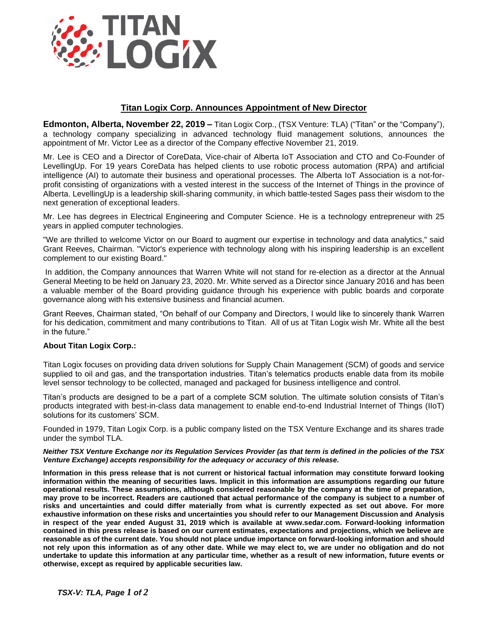

## **Titan Logix Corp. Announces Appointment of New Director**

**Edmonton, Alberta, November 22, 2019 –** Titan Logix Corp., (TSX Venture: TLA) ("Titan" or the "Company"), a technology company specializing in advanced technology fluid management solutions, announces the appointment of Mr. Victor Lee as a director of the Company effective November 21, 2019.

Mr. Lee is CEO and a Director of CoreData, Vice-chair of Alberta IoT Association and CTO and Co-Founder of LevellingUp. For 19 years CoreData has helped clients to use robotic process automation (RPA) and artificial intelligence (AI) to automate their business and operational processes. The Alberta IoT Association is a not-forprofit consisting of organizations with a vested interest in the success of the Internet of Things in the province of Alberta. LevellingUp is a leadership skill-sharing community, in which battle-tested Sages pass their wisdom to the next generation of exceptional leaders.

Mr. Lee has degrees in Electrical Engineering and Computer Science. He is a technology entrepreneur with 25 years in applied computer technologies.

"We are thrilled to welcome Victor on our Board to augment our expertise in technology and data analytics," said Grant Reeves, Chairman. "Victor's experience with technology along with his inspiring leadership is an excellent complement to our existing Board."

In addition, the Company announces that Warren White will not stand for re-election as a director at the Annual General Meeting to be held on January 23, 2020. Mr. White served as a Director since January 2016 and has been a valuable member of the Board providing guidance through his experience with public boards and corporate governance along with his extensive business and financial acumen.

Grant Reeves, Chairman stated, "On behalf of our Company and Directors, I would like to sincerely thank Warren for his dedication, commitment and many contributions to Titan. All of us at Titan Logix wish Mr. White all the best in the future."

## **About Titan Logix Corp.:**

Titan Logix focuses on providing data driven solutions for Supply Chain Management (SCM) of goods and service supplied to oil and gas, and the transportation industries. Titan's telematics products enable data from its mobile level sensor technology to be collected, managed and packaged for business intelligence and control.

Titan's products are designed to be a part of a complete SCM solution. The ultimate solution consists of Titan's products integrated with best-in-class data management to enable end-to-end Industrial Internet of Things (IIoT) solutions for its customers' SCM.

Founded in 1979, Titan Logix Corp. is a public company listed on the TSX Venture Exchange and its shares trade under the symbol TLA.

## *Neither TSX Venture Exchange nor its Regulation Services Provider (as that term is defined in the policies of the TSX Venture Exchange) accepts responsibility for the adequacy or accuracy of this release.*

**Information in this press release that is not current or historical factual information may constitute forward looking information within the meaning of securities laws. Implicit in this information are assumptions regarding our future operational results. These assumptions, although considered reasonable by the company at the time of preparation, may prove to be incorrect. Readers are cautioned that actual performance of the company is subject to a number of risks and uncertainties and could differ materially from what is currently expected as set out above. For more exhaustive information on these risks and uncertainties you should refer to our Management Discussion and Analysis in respect of the year ended August 31, 2019 which is available at www.sedar.com. Forward-looking information contained in this press release is based on our current estimates, expectations and projections, which we believe are reasonable as of the current date. You should not place undue importance on forward-looking information and should not rely upon this information as of any other date. While we may elect to, we are under no obligation and do not undertake to update this information at any particular time, whether as a result of new information, future events or otherwise, except as required by applicable securities law.**